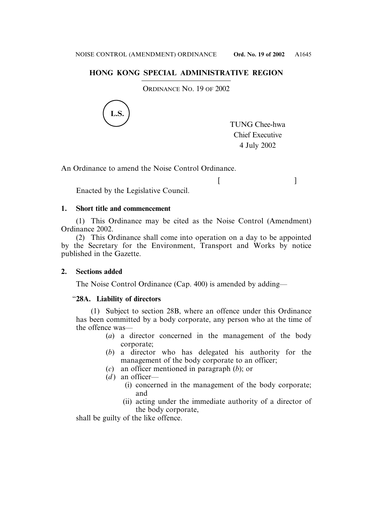# **HONG KONG SPECIAL ADMINISTRATIVE REGION**

ORDINANCE NO. 19 OF 2002



TUNG Chee-hwa Chief Executive 4 July 2002

 $[$   $]$ 

An Ordinance to amend the Noise Control Ordinance.

Enacted by the Legislative Council.

## **1. Short title and commencement**

(1) This Ordinance may be cited as the Noise Control (Amendment) Ordinance 2002.

(2) This Ordinance shall come into operation on a day to be appointed by the Secretary for the Environment, Transport and Works by notice published in the Gazette.

## **2. Sections added**

The Noise Control Ordinance (Cap. 400) is amended by adding—

## "**28A. Liability of directors**

(1) Subject to section 28B, where an offence under this Ordinance has been committed by a body corporate, any person who at the time of the offence was—

- (*a*) a director concerned in the management of the body corporate;
- (*b*) a director who has delegated his authority for the management of the body corporate to an officer;
- (*c*) an officer mentioned in paragraph (*b*); or
- $(d)$  an officer—
	- (i) concerned in the management of the body corporate; and
	- (ii) acting under the immediate authority of a director of the body corporate,

shall be guilty of the like offence.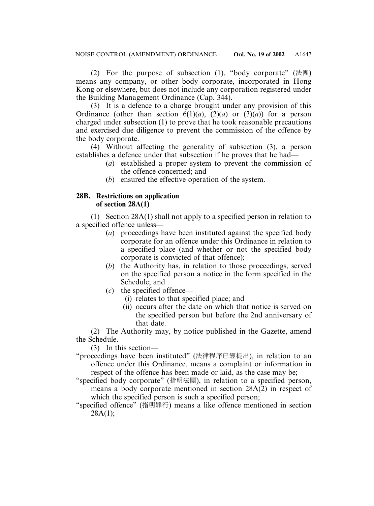(2) For the purpose of subsection (1), "body corporate" (法團) means any company, or other body corporate, incorporated in Hong Kong or elsewhere, but does not include any corporation registered under the Building Management Ordinance (Cap. 344).

(3) It is a defence to a charge brought under any provision of this Ordinance (other than section  $\vec{b}(1)(a)$ ,  $\vec{c}(2)(a)$  or  $\vec{c}(3)(a)$ ) for a person charged under subsection (1) to prove that he took reasonable precautions and exercised due diligence to prevent the commission of the offence by the body corporate.

(4) Without affecting the generality of subsection (3), a person establishes a defence under that subsection if he proves that he had—

- (*a*) established a proper system to prevent the commission of the offence concerned; and
- (*b*) ensured the effective operation of the system.

## **28B. Restrictions on application of section 28A(1)**

(1) Section 28A(1) shall not apply to a specified person in relation to a specified offence unless—

- (*a*) proceedings have been instituted against the specified body corporate for an offence under this Ordinance in relation to a specified place (and whether or not the specified body corporate is convicted of that offence);
- (*b*) the Authority has, in relation to those proceedings, served on the specified person a notice in the form specified in the Schedule; and
- (*c*) the specified offence—
	- (i) relates to that specified place; and
	- (ii) occurs after the date on which that notice is served on the specified person but before the 2nd anniversary of that date.

(2) The Authority may, by notice published in the Gazette, amend the Schedule.

(3) In this section—

"proceedings have been instituted" (法律程序已經提出), in relation to an offence under this Ordinance, means a complaint or information in respect of the offence has been made or laid, as the case may be;

- "specified body corporate" (指明法團), in relation to a specified person, means a body corporate mentioned in section 28A(2) in respect of which the specified person is such a specified person;
- "specified offence" (指明罪行) means a like offence mentioned in section  $28A(1)$ :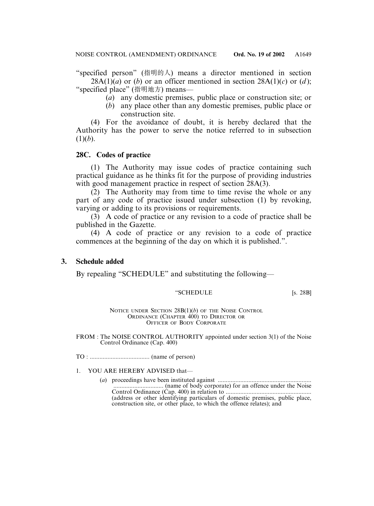"specified person" (指明的人) means a director mentioned in section 28A(1) $(a)$  or (*b*) or an officer mentioned in section 28A(1) $(c)$  or (*d*);

"specified place" (指明地方) means—

- (*a*) any domestic premises, public place or construction site; or
- (*b*) any place other than any domestic premises, public place or construction site.

(4) For the avoidance of doubt, it is hereby declared that the Authority has the power to serve the notice referred to in subsection  $(1)(b)$ .

### **28C. Codes of practice**

(1) The Authority may issue codes of practice containing such practical guidance as he thinks fit for the purpose of providing industries with good management practice in respect of section 28A(3).

(2) The Authority may from time to time revise the whole or any part of any code of practice issued under subsection (1) by revoking, varying or adding to its provisions or requirements.

(3) A code of practice or any revision to a code of practice shall be published in the Gazette.

(4) A code of practice or any revision to a code of practice commences at the beginning of the day on which it is published.".

### **3. Schedule added**

By repealing "SCHEDULE" and substituting the following—

#### "SCHEDULE [s. 28B]

NOTICE UNDER SECTION 28B(1)(*b*) OF THE NOISE CONTROL ORDINANCE (CHAPTER 400) TO DIRECTOR OR OFFICER OF BODY CORPORATE

FROM : The NOISE CONTROL AUTHORITY appointed under section 3(1) of the Noise Control Ordinance (Cap. 400)

TO : ..................................... (name of person)

#### 1. YOU ARE HEREBY ADVISED that—

(*a*) proceedings have been instituted against .......................................................... ............................... (name of body corporate) for an offence under the Noise Control Ordinance (Cap. 400) in relation to ..................................................... (address or other identifying particulars of domestic premises, public place, construction site, or other place, to which the offence relates); and